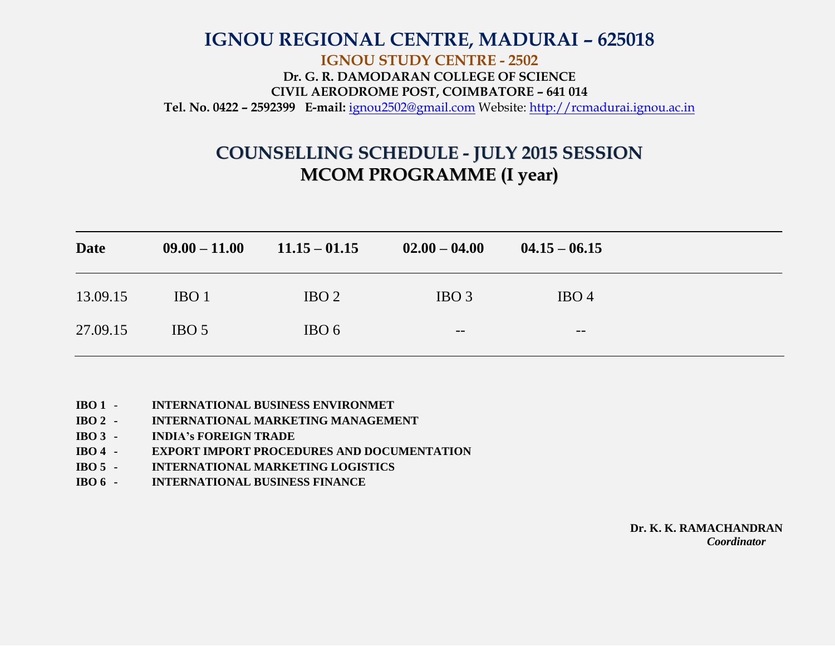## **IGNOU REGIONAL CENTRE, MADURAI – 625018 IGNOU STUDY CENTRE - 2502 Dr. G. R. DAMODARAN COLLEGE OF SCIENCE CIVIL AERODROME POST, COIMBATORE – 641 014 Tel. No. 0422 – 2592399 E-mail:** [ignou2502@gmail.com](mailto:ignou2502@gmail.com) Website: [http://rcmadurai.ignou.ac.in](http://rcmadurai.ignou.ac.in/)

## **COUNSELLING SCHEDULE - JULY 2015 SESSION MCOM PROGRAMME (I year)**

| <b>Date</b> | $09.00 - 11.00$  | $11.15 - 01.15$  | $02.00 - 04.00$  | $04.15 - 06.15$  |  |
|-------------|------------------|------------------|------------------|------------------|--|
| 13.09.15    | IBO <sub>1</sub> | IBO <sub>2</sub> | IBO <sub>3</sub> | IBO <sub>4</sub> |  |
| 27.09.15    | IBO <sub>5</sub> | IBO <sub>6</sub> | $- -$            | $- -$            |  |

- **IBO 1 INTERNATIONAL BUSINESS ENVIRONMET**
- **IBO 2 - INTERNATIONAL MARKETING MANAGEMENT**
- **IBO 3 - INDIA's FOREIGN TRADE**
- **IBO 4 - EXPORT IMPORT PROCEDURES AND DOCUMENTATION**
- **IBO 5 - INTERNATIONAL MARKETING LOGISTICS**
- **IBO 6 - INTERNATIONAL BUSINESS FINANCE**

**Dr. K. K. RAMACHANDRAN** *Coordinator*